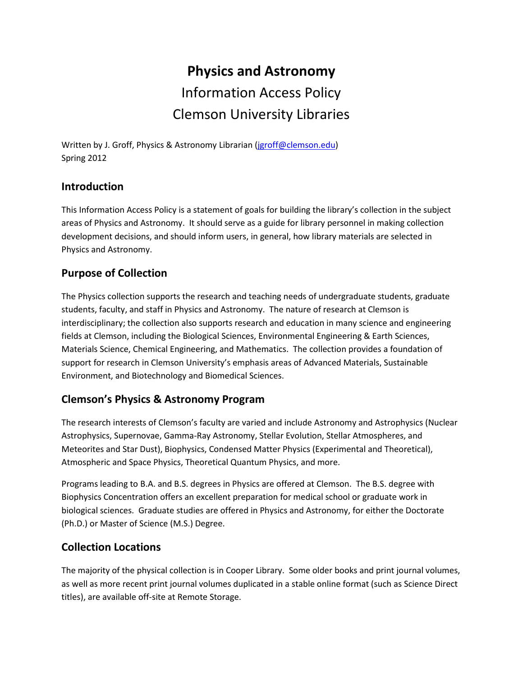# **Physics and Astronomy** Information Access Policy Clemson University Libraries

Written by J. Groff, Physics & Astronomy Librarian [\(jgroff@clemson.edu\)](mailto:jgroff@clemson.edu) Spring 2012

#### **Introduction**

This Information Access Policy is a statement of goals for building the library's collection in the subject areas of Physics and Astronomy. It should serve as a guide for library personnel in making collection development decisions, and should inform users, in general, how library materials are selected in Physics and Astronomy.

#### **Purpose of Collection**

The Physics collection supports the research and teaching needs of undergraduate students, graduate students, faculty, and staff in Physics and Astronomy. The nature of research at Clemson is interdisciplinary; the collection also supports research and education in many science and engineering fields at Clemson, including the Biological Sciences, Environmental Engineering & Earth Sciences, Materials Science, Chemical Engineering, and Mathematics. The collection provides a foundation of support for research in Clemson University's emphasis areas of Advanced Materials, Sustainable Environment, and Biotechnology and Biomedical Sciences.

# **Clemson's Physics & Astronomy Program**

The research interests of Clemson's faculty are varied and include Astronomy and Astrophysics (Nuclear Astrophysics, Supernovae, Gamma-Ray Astronomy, Stellar Evolution, Stellar Atmospheres, and Meteorites and Star Dust), Biophysics, Condensed Matter Physics (Experimental and Theoretical), Atmospheric and Space Physics, Theoretical Quantum Physics, and more.

Programs leading to B.A. and B.S. degrees in Physics are offered at Clemson. The B.S. degree with Biophysics Concentration offers an excellent preparation for medical school or graduate work in biological sciences. Graduate studies are offered in Physics and Astronomy, for either the Doctorate (Ph.D.) or Master of Science (M.S.) Degree.

#### **Collection Locations**

The majority of the physical collection is in Cooper Library. Some older books and print journal volumes, as well as more recent print journal volumes duplicated in a stable online format (such as Science Direct titles), are available off-site at Remote Storage.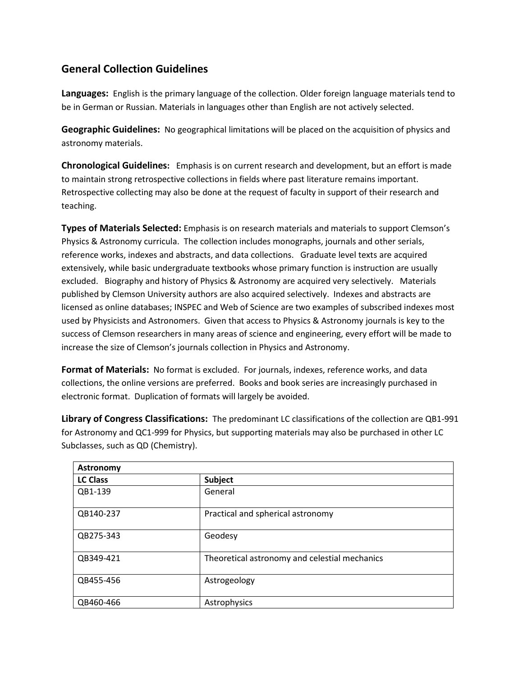## **General Collection Guidelines**

**Languages:** English is the primary language of the collection. Older foreign language materials tend to be in German or Russian. Materials in languages other than English are not actively selected.

**Geographic Guidelines:** No geographical limitations will be placed on the acquisition of physics and astronomy materials.

**Chronological Guidelines:** Emphasis is on current research and development, but an effort is made to maintain strong retrospective collections in fields where past literature remains important. Retrospective collecting may also be done at the request of faculty in support of their research and teaching.

**Types of Materials Selected:** Emphasis is on research materials and materials to support Clemson's Physics & Astronomy curricula. The collection includes monographs, journals and other serials, reference works, indexes and abstracts, and data collections. Graduate level texts are acquired extensively, while basic undergraduate textbooks whose primary function is instruction are usually excluded. Biography and history of Physics & Astronomy are acquired very selectively. Materials published by Clemson University authors are also acquired selectively. Indexes and abstracts are licensed as online databases; INSPEC and Web of Science are two examples of subscribed indexes most used by Physicists and Astronomers. Given that access to Physics & Astronomy journals is key to the success of Clemson researchers in many areas of science and engineering, every effort will be made to increase the size of Clemson's journals collection in Physics and Astronomy.

**Format of Materials:** No format is excluded. For journals, indexes, reference works, and data collections, the online versions are preferred. Books and book series are increasingly purchased in electronic format. Duplication of formats will largely be avoided.

**Library of Congress Classifications:** The predominant LC classifications of the collection are QB1-991 for Astronomy and QC1-999 for Physics, but supporting materials may also be purchased in other LC Subclasses, such as QD (Chemistry).

| <b>Astronomy</b> |                                               |
|------------------|-----------------------------------------------|
| <b>LC Class</b>  | Subject                                       |
| QB1-139          | General                                       |
| QB140-237        | Practical and spherical astronomy             |
| QB275-343        | Geodesy                                       |
| QB349-421        | Theoretical astronomy and celestial mechanics |
| QB455-456        | Astrogeology                                  |
| QB460-466        | Astrophysics                                  |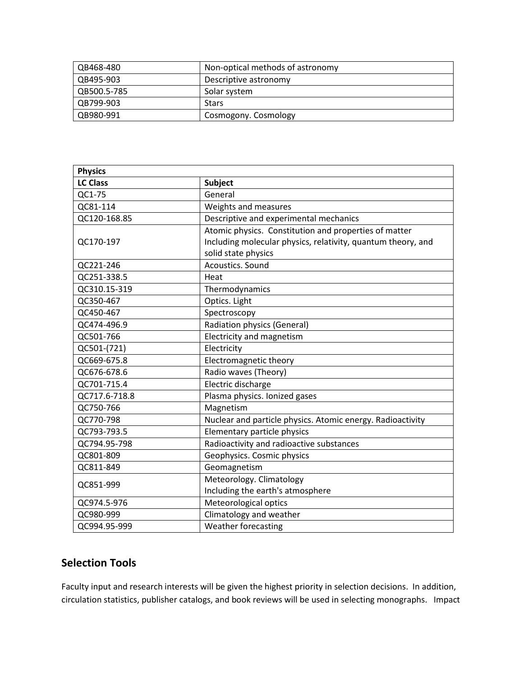| QB468-480   | Non-optical methods of astronomy |
|-------------|----------------------------------|
| QB495-903   | Descriptive astronomy            |
| QB500.5-785 | Solar system                     |
| QB799-903   | Stars                            |
| QB980-991   | Cosmogony. Cosmology             |

| <b>Physics</b>  |                                                              |
|-----------------|--------------------------------------------------------------|
| <b>LC Class</b> | Subject                                                      |
| QC1-75          | General                                                      |
| QC81-114        | Weights and measures                                         |
| QC120-168.85    | Descriptive and experimental mechanics                       |
|                 | Atomic physics. Constitution and properties of matter        |
| QC170-197       | Including molecular physics, relativity, quantum theory, and |
|                 | solid state physics                                          |
| QC221-246       | Acoustics. Sound                                             |
| QC251-338.5     | Heat                                                         |
| QC310.15-319    | Thermodynamics                                               |
| QC350-467       | Optics. Light                                                |
| QC450-467       | Spectroscopy                                                 |
| QC474-496.9     | <b>Radiation physics (General)</b>                           |
| QC501-766       | Electricity and magnetism                                    |
| QC501-(721)     | Electricity                                                  |
| QC669-675.8     | Electromagnetic theory                                       |
| QC676-678.6     | Radio waves (Theory)                                         |
| QC701-715.4     | Electric discharge                                           |
| QC717.6-718.8   | Plasma physics. Ionized gases                                |
| QC750-766       | Magnetism                                                    |
| QC770-798       | Nuclear and particle physics. Atomic energy. Radioactivity   |
| QC793-793.5     | Elementary particle physics                                  |
| QC794.95-798    | Radioactivity and radioactive substances                     |
| QC801-809       | Geophysics. Cosmic physics                                   |
| QC811-849       | Geomagnetism                                                 |
| QC851-999       | Meteorology. Climatology                                     |
|                 | Including the earth's atmosphere                             |
| QC974.5-976     | Meteorological optics                                        |
| QC980-999       | Climatology and weather                                      |
| QC994.95-999    | Weather forecasting                                          |

## **Selection Tools**

Faculty input and research interests will be given the highest priority in selection decisions. In addition, circulation statistics, publisher catalogs, and book reviews will be used in selecting monographs. Impact